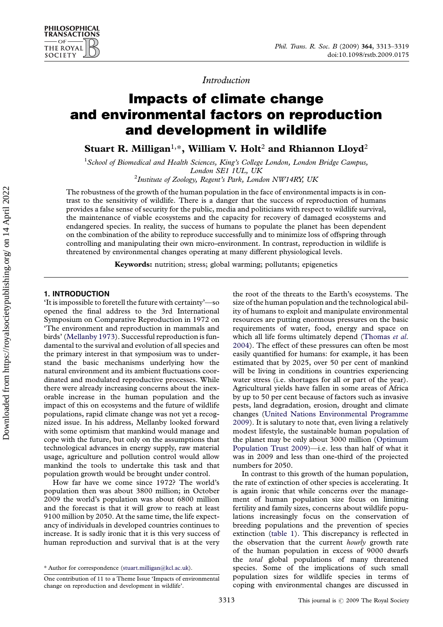

Introduction

# Impacts of climate change and environmental factors on reproduction and development in wildlife

Stuart R. Milligan<sup>1,\*</sup>, William V. Holt<sup>2</sup> and Rhiannon Lloyd<sup>2</sup>

<sup>1</sup> School of Biomedical and Health Sciences, King's College London, London Bridge Campus, London SE1 1UL, UK<br><sup>2</sup>Institute of Zoology, Regent's Park, London NW14RY, UK

The robustness of the growth of the human population in the face of environmental impacts is in contrast to the sensitivity of wildlife. There is a danger that the success of reproduction of humans provides a false sense of security for the public, media and politicians with respect to wildlife survival, the maintenance of viable ecosystems and the capacity for recovery of damaged ecosystems and endangered species. In reality, the success of humans to populate the planet has been dependent on the combination of the ability to reproduce successfully and to minimize loss of offspring through controlling and manipulating their own micro-environment. In contrast, reproduction in wildlife is threatened by environmental changes operating at many different physiological levels.

Keywords: nutrition; stress; global warming; pollutants; epigenetics

## 1. INTRODUCTION

'It is impossible to foretell the future with certainty'—so opened the final address to the 3rd International Symposium on Comparative Reproduction in 1972 on 'The environment and reproduction in mammals and birds' [\(Mellanby 1973](#page-6-0)). Successful reproduction is fundamental to the survival and evolution of all species and the primary interest in that symposium was to understand the basic mechanisms underlying how the natural environment and its ambient fluctuations coordinated and modulated reproductive processes. While there were already increasing concerns about the inexorable increase in the human population and the impact of this on ecosystems and the future of wildlife populations, rapid climate change was not yet a recognized issue. In his address, Mellanby looked forward with some optimism that mankind would manage and cope with the future, but only on the assumptions that technological advances in energy supply, raw material usage, agriculture and pollution control would allow mankind the tools to undertake this task and that population growth would be brought under control.

How far have we come since 1972? The world's population then was about 3800 million; in October 2009 the world's population was about 6800 million and the forecast is that it will grow to reach at least 9100 million by 2050. At the same time, the life expectancy of individuals in developed countries continues to increase. It is sadly ironic that it is this very success of human reproduction and survival that is at the very

the root of the threats to the Earth's ecosystems. The size of the human population and the technological ability of humans to exploit and manipulate environmental resources are putting enormous pressures on the basic requirements of water, food, energy and space on which all life forms ultimately depend [\(Thomas](#page-6-0) et al. [2004](#page-6-0)). The effect of these pressures can often be most easily quantified for humans: for example, it has been estimated that by 2025, over 50 per cent of mankind will be living in conditions in countries experiencing water stress (i.e. shortages for all or part of the year). Agricultural yields have fallen in some areas of Africa by up to 50 per cent because of factors such as invasive pests, land degradation, erosion, drought and climate changes ([United Nations Environmental Programme](#page-6-0) [2009](#page-6-0)). It is salutary to note that, even living a relatively modest lifestyle, the sustainable human population of the planet may be only about 3000 million [\(Optimum](#page-6-0) [Population Trust 2009\)](#page-6-0)—i.e. less than half of what it was in 2009 and less than one-third of the projected numbers for 2050.

In contrast to this growth of the human population, the rate of extinction of other species is accelerating. It is again ironic that while concerns over the management of human population size focus on limiting fertility and family sizes, concerns about wildlife populations increasingly focus on the conservation of breeding populations and the prevention of species extinction ([table 1\)](#page-1-0). This discrepancy is reflected in the observation that the current *hourly* growth rate of the human population in excess of 9000 dwarfs the total global populations of many threatened species. Some of the implications of such small population sizes for wildlife species in terms of coping with environmental changes are discussed in

<sup>\*</sup> Author for correspondence [\(stuart.milligan@kcl.ac.uk](mailto:stuart.milligan@kcl.ac.uk)).

One contribution of 11 to a Theme Issue 'Impacts of environmental change on reproduction and development in wildlife'.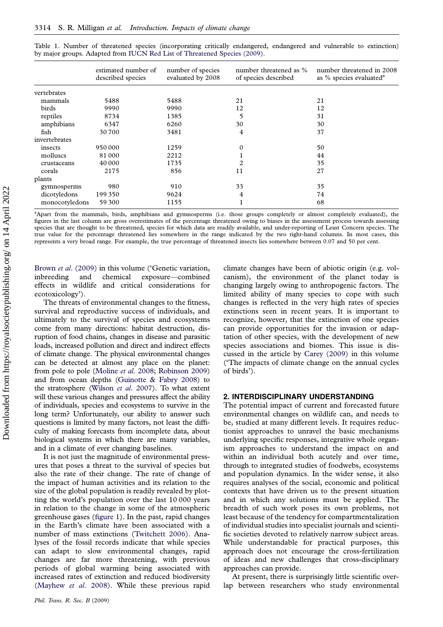|                | estimated number of<br>described species | number of species<br>evaluated by 2008 | number threatened as %<br>of species described | number threatened in 2008<br>as % species evaluated <sup>a</sup> |
|----------------|------------------------------------------|----------------------------------------|------------------------------------------------|------------------------------------------------------------------|
| vertebrates    |                                          |                                        |                                                |                                                                  |
| mammals        | 5488                                     | 5488                                   | 21                                             | 21                                                               |
| birds          | 9990                                     | 9990                                   | 12                                             | 12                                                               |
| reptiles       | 8734                                     | 1385                                   | 5                                              | 31                                                               |
| amphibians     | 6347                                     | 6260                                   | 30                                             | 30                                                               |
| fish           | 30700                                    | 3481                                   | 4                                              | 37                                                               |
| invertebrates  |                                          |                                        |                                                |                                                                  |
| insects        | 950 000                                  | 1259                                   | $\mathbf 0$                                    | 50                                                               |
| molluscs       | 81000                                    | 2212                                   |                                                | 44                                                               |
| crustaceans    | 40 000                                   | 1735                                   | 2                                              | 35                                                               |
| corals         | 2175                                     | 856                                    | 11                                             | 27                                                               |
| plants         |                                          |                                        |                                                |                                                                  |
| gymnosperms    | 980                                      | 910                                    | 33                                             | 35                                                               |
| dicotyledons   | 199350                                   | 9624                                   | 4                                              | 74                                                               |
| monocotyledons | 59 300                                   | 1155                                   |                                                | 68                                                               |

<span id="page-1-0"></span>Table 1. Number of threatened species (incorporating critically endangered, endangered and vulnerable to extinction) by major groups. Adapted from [IUCN Red List of Threatened Species \(2009](#page-6-0)).

a Apart from the mammals, birds, amphibians and gymnosperms (i.e. those groups completely or almost completely evaluated), the figures in the last column are gross overestimates of the percentage threatened owing to biases in the assessment process towards assessing species that are thought to be threatened, species for which data are readily available, and under-reporting of Least Concern species. The true value for the percentage threatened lies somewhere in the range indicated by the two right-hand columns. In most cases, this represents a very broad range. For example, the true percentage of threatened insects lies somewhere between 0.07 and 50 per cent.

Brown et al[. \(2009\)](#page-5-0) in this volume ('Genetic variation, inbreeding and chemical exposure—combined effects in wildlife and critical considerations for ecotoxicology').

The threats of environmental changes to the fitness, survival and reproductive success of individuals, and ultimately to the survival of species and ecosystems come from many directions: habitat destruction, disruption of food chains, changes in disease and parasitic loads, increased pollution and direct and indirect effects of climate change. The physical environmental changes can be detected at almost any place on the planet: from pole to pole [\(Moline](#page-6-0) et al. 2008; [Robinson 2009](#page-6-0)) and from ocean depths [\(Guinotte & Fabry 2008](#page-5-0)) to the stratosphere [\(Wilson](#page-6-0) et al. 2007). To what extent will these various changes and pressures affect the ability of individuals, species and ecosystems to survive in the long term? Unfortunately, our ability to answer such questions is limited by many factors, not least the difficulty of making forecasts from incomplete data, about biological systems in which there are many variables, and in a climate of ever changing baselines.

It is not just the magnitude of environmental pressures that poses a threat to the survival of species but also the rate of their change. The rate of change of the impact of human activities and its relation to the size of the global population is readily revealed by plotting the world's population over the last 10 000 years in relation to the change in some of the atmospheric greenhouse gases [\(figure 1\)](#page-2-0). In the past, rapid changes in the Earth's climate have been associated with a number of mass extinctions ([Twitchett 2006](#page-6-0)). Analyses of the fossil records indicate that while species can adapt to slow environmental changes, rapid changes are far more threatening, with previous periods of global warming being associated with increased rates of extinction and reduced biodiversity [\(Mayhew](#page-6-0) et al. 2008). While these previous rapid

climate changes have been of abiotic origin (e.g. volcanism), the environment of the planet today is changing largely owing to anthropogenic factors. The limited ability of many species to cope with such changes is reflected in the very high rates of species extinctions seen in recent years. It is important to recognize, however, that the extinction of one species can provide opportunities for the invasion or adaptation of other species, with the development of new species associations and biomes. This issue is discussed in the article by [Carey \(2009\)](#page-5-0) in this volume ('The impacts of climate change on the annual cycles of birds').

## 2. INTERDISCIPLINARY UNDERSTANDING

The potential impact of current and forecasted future environmental changes on wildlife can, and needs to be, studied at many different levels. It requires reductionist approaches to unravel the basic mechanisms underlying specific responses, integrative whole organism approaches to understand the impact on and within an individual both acutely and over time, through to integrated studies of foodwebs, ecosystems and population dynamics. In the wider sense, it also requires analyses of the social, economic and political contexts that have driven us to the present situation and in which any solutions must be applied. The breadth of such work poses its own problems, not least because of the tendency for compartmentalization of individual studies into specialist journals and scientific societies devoted to relatively narrow subject areas. While understandable for practical purposes, this approach does not encourage the cross-fertilization of ideas and new challenges that cross-disciplinary approaches can provide.

At present, there is surprisingly little scientific overlap between researchers who study environmental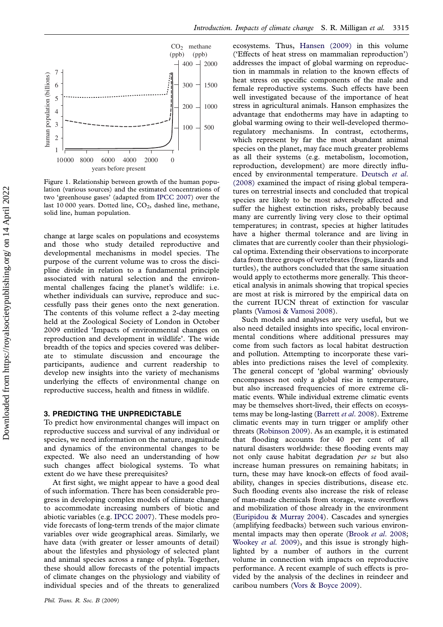<span id="page-2-0"></span>

Figure 1. Relationship between growth of the human population (various sources) and the estimated concentrations of two 'greenhouse gases' (adapted from [IPCC 2007\)](#page-6-0) over the last 10 000 years. Dotted line,  $CO<sub>2</sub>$ , dashed line, methane, solid line, human population.

change at large scales on populations and ecosystems and those who study detailed reproductive and developmental mechanisms in model species. The purpose of the current volume was to cross the discipline divide in relation to a fundamental principle associated with natural selection and the environmental challenges facing the planet's wildlife: i.e. whether individuals can survive, reproduce and successfully pass their genes onto the next generation. The contents of this volume reflect a 2-day meeting held at the Zoological Society of London in October 2009 entitled 'Impacts of environmental changes on reproduction and development in wildlife'. The wide breadth of the topics and species covered was deliberate to stimulate discussion and encourage the participants, audience and current readership to develop new insights into the variety of mechanisms underlying the effects of environmental change on reproductive success, health and fitness in wildlife.

## 3. PREDICTING THE UNPREDICTABLE

To predict how environmental changes will impact on reproductive success and survival of any individual or species, we need information on the nature, magnitude and dynamics of the environmental changes to be expected. We also need an understanding of how such changes affect biological systems. To what extent do we have these prerequisites?

At first sight, we might appear to have a good deal of such information. There has been considerable progress in developing complex models of climate change to accommodate increasing numbers of biotic and abiotic variables (e.g. [IPCC 2007](#page-6-0)). These models provide forecasts of long-term trends of the major climate variables over wide geographical areas. Similarly, we have data (with greater or lesser amounts of detail) about the lifestyles and physiology of selected plant and animal species across a range of phyla. Together, these should allow forecasts of the potential impacts of climate changes on the physiology and viability of individual species and of the threats to generalized

ecosystems. Thus, [Hansen \(2009\)](#page-6-0) in this volume ('Effects of heat stress on mammalian reproduction') addresses the impact of global warming on reproduction in mammals in relation to the known effects of heat stress on specific components of the male and female reproductive systems. Such effects have been well investigated because of the importance of heat stress in agricultural animals. Hanson emphasizes the advantage that endotherms may have in adapting to global warming owing to their well-developed thermoregulatory mechanisms. In contrast, ectotherms, which represent by far the most abundant animal species on the planet, may face much greater problems as all their systems (e.g. metabolism, locomotion, reproduction, development) are more directly influ-enced by environmental temperature. [Deutsch](#page-5-0) et al. [\(2008\)](#page-5-0) examined the impact of rising global temperatures on terrestrial insects and concluded that tropical species are likely to be most adversely affected and suffer the highest extinction risks, probably because many are currently living very close to their optimal temperatures; in contrast, species at higher latitudes have a higher thermal tolerance and are living in climates that are currently cooler than their physiological optima. Extending their observations to incorporate data from three groups of vertebrates (frogs, lizards and turtles), the authors concluded that the same situation would apply to ectotherms more generally. This theoretical analysis in animals showing that tropical species are most at risk is mirrored by the empirical data on the current IUCN threat of extinction for vascular plants ([Vamosi & Vamosi 2008](#page-6-0)).

Such models and analyses are very useful, but we also need detailed insights into specific, local environmental conditions where additional pressures may come from such factors as local habitat destruction and pollution. Attempting to incorporate these variables into predictions raises the level of complexity. The general concept of 'global warming' obviously encompasses not only a global rise in temperature, but also increased frequencies of more extreme climatic events. While individual extreme climatic events may be themselves short-lived, their effects on ecosys-tems may be long-lasting ([Barrett](#page-5-0) et al. 2008). Extreme climatic events may in turn trigger or amplify other threats [\(Robinson 2009](#page-6-0)). As an example, it is estimated that flooding accounts for 40 per cent of all natural disasters worldwide: these flooding events may not only cause habitat degradation *per se* but also increase human pressures on remaining habitats; in turn, these may have knock-on effects of food availability, changes in species distributions, disease etc. Such flooding events also increase the risk of release of man-made chemicals from storage, waste overflows and mobilization of those already in the environment ([Euripidou & Murray 2004\)](#page-5-0). Cascades and synergies (amplifying feedbacks) between such various environ-mental impacts may then operate (Brook et al[. 2008](#page-5-0); [Wookey](#page-6-0) et al. 2009), and this issue is strongly highlighted by a number of authors in the current volume in connection with impacts on reproductive performance. A recent example of such effects is provided by the analysis of the declines in reindeer and caribou numbers ([Vors & Boyce 2009\)](#page-6-0).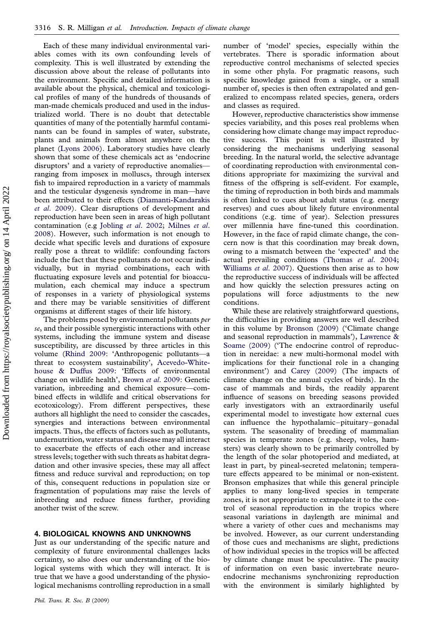Each of these many individual environmental variables comes with its own confounding levels of complexity. This is well illustrated by extending the discussion above about the release of pollutants into the environment. Specific and detailed information is available about the physical, chemical and toxicological profiles of many of the hundreds of thousands of man-made chemicals produced and used in the industrialized world. There is no doubt that detectable quantities of many of the potentially harmful contaminants can be found in samples of water, substrate, plants and animals from almost anywhere on the planet [\(Lyons 2006\)](#page-6-0). Laboratory studies have clearly shown that some of these chemicals act as 'endocrine disruptors' and a variety of reproductive anomalies ranging from imposex in molluscs, through intersex fish to impaired reproduction in a variety of mammals and the testicular dysgenesis syndrome in man—have been attributed to their effects [\(Diamanti-Kandarakis](#page-5-0) et al[. 2009](#page-5-0)). Clear disruptions of development and reproduction have been seen in areas of high pollutant contamination (e.g [Jobling](#page-6-0) et al. 2002; [Milnes](#page-6-0) et al. [2008](#page-6-0)). However, such information is not enough to decide what specific levels and durations of exposure really pose a threat to wildlife: confounding factors include the fact that these pollutants do not occur individually, but in myriad combinations, each with fluctuating exposure levels and potential for bioaccumulation, each chemical may induce a spectrum of responses in a variety of physiological systems and there may be variable sensitivities of different organisms at different stages of their life history.

The problems posed by environmental pollutants per se, and their possible synergistic interactions with other systems, including the immune system and disease susceptibility, are discussed by three articles in this volume ([Rhind 2009](#page-6-0): 'Anthropogenic pollutants—a threat to ecosystem sustainability', [Acevedo-White](#page-5-0)[house & Duffus 2009:](#page-5-0) 'Effects of environmental change on wildlife health', [Brown](#page-5-0) et al. 2009: Genetic variation, inbreeding and chemical exposure—combined effects in wildlife and critical observations for ecotoxicology). From different perspectives, these authors all highlight the need to consider the cascades, synergies and interactions between environmental impacts. Thus, the effects of factors such as pollutants, undernutrition, water status and disease may all interact to exacerbate the effects of each other and increase stress levels; together with such threats as habitat degradation and other invasive species, these may all affect fitness and reduce survival and reproduction; on top of this, consequent reductions in population size or fragmentation of populations may raise the levels of inbreeding and reduce fitness further, providing another twist of the screw.

#### 4. BIOLOGICAL KNOWNS AND UNKNOWNS

Just as our understanding of the specific nature and complexity of future environmental challenges lacks certainty, so also does our understanding of the biological systems with which they will interact. It is true that we have a good understanding of the physiological mechanisms controlling reproduction in a small number of 'model' species, especially within the vertebrates. There is sporadic information about reproductive control mechanisms of selected species in some other phyla. For pragmatic reasons, such specific knowledge gained from a single, or a small number of, species is then often extrapolated and generalized to encompass related species, genera, orders and classes as required.

However, reproductive characteristics show immense species variability, and this poses real problems when considering how climate change may impact reproductive success. This point is well illustrated by considering the mechanisms underlying seasonal breeding. In the natural world, the selective advantage of coordinating reproduction with environmental conditions appropriate for maximizing the survival and fitness of the offspring is self-evident. For example, the timing of reproduction in both birds and mammals is often linked to cues about adult status (e.g. energy reserves) and cues about likely future environmental conditions (e.g. time of year). Selection pressures over millennia have fine-tuned this coordination. However, in the face of rapid climate change, the concern now is that this coordination may break down, owing to a mismatch between the 'expected' and the actual prevailing conditions ([Thomas](#page-6-0) et al. 2004; [Williams](#page-6-0) et al. 2007). Questions then arise as to how the reproductive success of individuals will be affected and how quickly the selection pressures acting on populations will force adjustments to the new conditions.

While these are relatively straightforward questions, the difficulties in providing answers are well described in this volume by [Bronson \(2009\)](#page-5-0) ('Climate change and seasonal reproduction in mammals'), [Lawrence &](#page-6-0) [Soame \(2009\)](#page-6-0) ('The endocrine control of reproduction in nereidae: a new multi-hormonal model with implications for their functional role in a changing environment') and [Carey \(2009\)](#page-5-0) (The impacts of climate change on the annual cycles of birds). In the case of mammals and birds, the readily apparent influence of seasons on breeding seasons provided early investigators with an extraordinarily useful experimental model to investigate how external cues can influence the hypothalamic–pituitary–gonadal system. The seasonality of breeding of mammalian species in temperate zones (e.g. sheep, voles, hamsters) was clearly shown to be primarily controlled by the length of the solar photoperiod and mediated, at least in part, by pineal-secreted melatonin; temperature effects appeared to be minimal or non-existent. Bronson emphasizes that while this general principle applies to many long-lived species in temperate zones, it is not appropriate to extrapolate it to the control of seasonal reproduction in the tropics where seasonal variations in daylength are minimal and where a variety of other cues and mechanisms may be involved. However, as our current understanding of those cues and mechanisms are slight, predictions of how individual species in the tropics will be affected by climate change must be speculative. The paucity of information on even basic invertebrate neuroendocrine mechanisms synchronizing reproduction with the environment is similarly highlighted by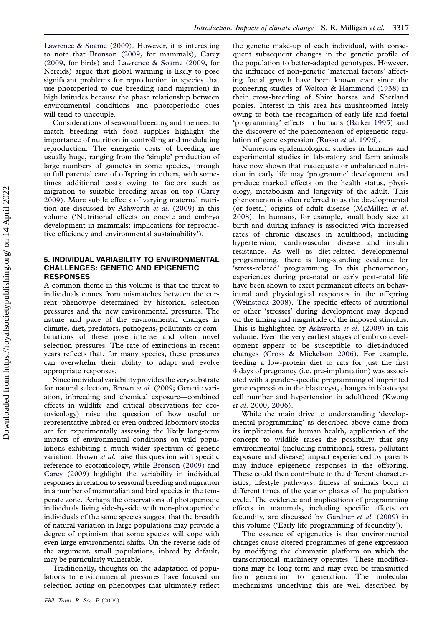[Lawrence & Soame \(2009\)](#page-6-0). However, it is interesting to note that [Bronson \(2009,](#page-5-0) for mammals), [Carey](#page-5-0) [\(2009,](#page-5-0) for birds) and [Lawrence & Soame \(2009,](#page-6-0) for Nereids) argue that global warming is likely to pose significant problems for reproduction in species that use photoperiod to cue breeding (and migration) in high latitudes because the phase relationship between environmental conditions and photoperiodic cues will tend to uncouple.

Considerations of seasonal breeding and the need to match breeding with food supplies highlight the importance of nutrition in controlling and modulating reproduction. The energetic costs of breeding are usually huge, ranging from the 'simple' production of large numbers of gametes in some species, through to full parental care of offspring in others, with sometimes additional costs owing to factors such as migration to suitable breeding areas on top [\(Carey](#page-5-0) [2009](#page-5-0)). More subtle effects of varying maternal nutrition are discussed by [Ashworth](#page-5-0) et al. (2009) in this volume ('Nutritional effects on oocyte and embryo development in mammals: implications for reproductive efficiency and environmental sustainability').

## 5. INDIVIDUAL VARIABILITY TO ENVIRONMENTAL CHALLENGES: GENETIC AND EPIGENETIC **RESPONSES**

A common theme in this volume is that the threat to individuals comes from mismatches between the current phenotype determined by historical selection pressures and the new environmental pressures. The nature and pace of the environmental changes in climate, diet, predators, pathogens, pollutants or combinations of these pose intense and often novel selection pressures. The rate of extinctions in recent years reflects that, for many species, these pressures can overwhelm their ability to adapt and evolve appropriate responses.

Since individual variability provides the very substrate for natural selection, Brown et al[. \(2009](#page-5-0); Genetic variation, inbreeding and chemical exposure—combined effects in wildlife and critical observations for ecotoxicology) raise the question of how useful or representative inbred or even outbred laboratory stocks are for experimentally assessing the likely long-term impacts of environmental conditions on wild populations exhibiting a much wider spectrum of genetic variation. Brown *et al.* raise this question with specific reference to ecotoxicology, while [Bronson \(2009\)](#page-5-0) and [Carey \(2009\)](#page-5-0) highlight the variability in individual responses in relation to seasonal breeding and migration in a number of mammalian and bird species in the temperate zone. Perhaps the observations of photoperiodic individuals living side-by-side with non-photoperiodic individuals of the same species suggest that the breadth of natural variation in large populations may provide a degree of optimism that some species will cope with even large environmental shifts. On the reverse side of the argument, small populations, inbred by default, may be particularly vulnerable.

Traditionally, thoughts on the adaptation of populations to environmental pressures have focused on selection acting on phenotypes that ultimately reflect

Phil. Trans. R. Soc. B (2009)

the genetic make-up of each individual, with consequent subsequent changes in the genetic profile of the population to better-adapted genotypes. However, the influence of non-genetic 'maternal factors' affecting foetal growth have been known ever since the pioneering studies of [Walton & Hammond \(1938\)](#page-6-0) in their cross-breeding of Shire horses and Shetland ponies. Interest in this area has mushroomed lately owing to both the recognition of early-life and foetal 'programming' effects in humans [\(Barker 1995\)](#page-5-0) and the discovery of the phenomenon of epigenetic regulation of gene expression (Russo et al[. 1996\)](#page-6-0).

Numerous epidemiological studies in humans and experimental studies in laboratory and farm animals have now shown that inadequate or unbalanced nutrition in early life may 'programme' development and produce marked effects on the health status, physiology, metabolism and longevity of the adult. This phenomenon is often referred to as the developmental (or foetal) origins of adult disease [\(McMillen](#page-6-0) et al. [2008](#page-6-0)). In humans, for example, small body size at birth and during infancy is associated with increased rates of chronic diseases in adulthood, including hypertension, cardiovascular disease and insulin resistance. As well as diet-related developmental programming, there is long-standing evidence for 'stress-related' programming. In this phenomenon, experiences during pre-natal or early post-natal life have been shown to exert permanent effects on behavioural and physiological responses in the offspring ([Weinstock 2008\)](#page-6-0). The specific effects of nutritional or other 'stresses' during development may depend on the timing and magnitude of the imposed stimulus. This is highlighted by [Ashworth](#page-5-0) et al. (2009) in this volume. Even the very earliest stages of embryo development appear to be susceptible to diet-induced changes ([Cross & Mickelson 2006\)](#page-5-0). For example, feeding a low-protein diet to rats for just the first 4 days of pregnancy (i.e. pre-implantation) was associated with a gender-specific programming of imprinted gene expression in the blastocyst, changes in blastocyst cell number and hypertension in adulthood (Kwong et al. [2000](#page-6-0), [2006](#page-6-0)).

While the main drive to understanding 'developmental programming' as described above came from its implications for human health, application of the concept to wildlife raises the possibility that any environmental (including nutritional, stress, pollutant exposure and disease) impact experienced by parents may induce epigenetic responses in the offspring. These could then contribute to the different characteristics, lifestyle pathways, fitness of animals born at different times of the year or phases of the population cycle. The evidence and implications of programming effects in mammals, including specific effects on fecundity, are discussed by Gardner et al[. \(2009\)](#page-5-0) in this volume ('Early life programming of fecundity').

The essence of epigenetics is that environmental changes cause altered programmes of gene expression by modifying the chromatin platform on which the transcriptional machinery operates. These modifications may be long term and may even be transmitted from generation to generation. The molecular mechanisms underlying this are well described by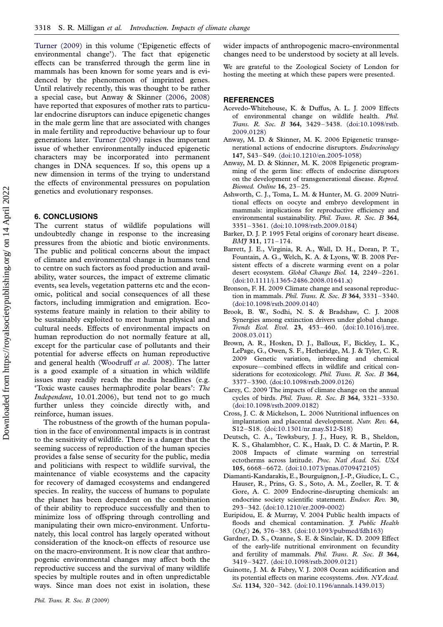<span id="page-5-0"></span>[Turner \(2009\)](#page-6-0) in this volume ('Epigenetic effects of environmental change'). The fact that epigenetic effects can be transferred through the germ line in mammals has been known for some years and is evidenced by the phenomenon of imprinted genes. Until relatively recently, this was thought to be rather a special case, but Anway & Skinner (2006, 2008) have reported that exposures of mother rats to particular endocrine disruptors can induce epigenetic changes in the male germ line that are associated with changes in male fertility and reproductive behaviour up to four generations later. [Turner \(2009\)](#page-6-0) raises the important issue of whether environmentally induced epigenetic characters may be incorporated into permanent changes in DNA sequences. If so, this opens up a new dimension in terms of the trying to understand the effects of environmental pressures on population genetics and evolutionary responses.

#### 6. CONCLUSIONS

The current status of wildlife populations will undoubtedly change in response to the increasing pressures from the abiotic and biotic environments. The public and political concerns about the impact of climate and environmental change in humans tend to centre on such factors as food production and availability, water sources, the impact of extreme climatic events, sea levels, vegetation patterns etc and the economic, political and social consequences of all these factors, including immigration and emigration. Ecosystems feature mainly in relation to their ability to be sustainably exploited to meet human physical and cultural needs. Effects of environmental impacts on human reproduction do not normally feature at all, except for the particular case of pollutants and their potential for adverse effects on human reproductive and general health ([Woodruff](#page-6-0) et al. 2008). The latter is a good example of a situation in which wildlife issues may readily reach the media headlines (e.g. 'Toxic waste causes hermaphrodite polar bears': The Independent, 10.01.2006), but tend not to go much further unless they coincide directly with, and reinforce, human issues.

The robustness of the growth of the human population in the face of environmental impacts is in contrast to the sensitivity of wildlife. There is a danger that the seeming success of reproduction of the human species provides a false sense of security for the public, media and politicians with respect to wildlife survival, the maintenance of viable ecosystems and the capacity for recovery of damaged ecosystems and endangered species. In reality, the success of humans to populate the planet has been dependent on the combination of their ability to reproduce successfully and then to minimize loss of offspring through controlling and manipulating their own micro-environment. Unfortunately, this local control has largely operated without consideration of the knock-on effects of resource use on the macro-environment. It is now clear that anthropogenic environmental changes may affect both the reproductive success and the survival of many wildlife species by multiple routes and in often unpredictable ways. Since man does not exist in isolation, these

wider impacts of anthropogenic macro-environmental changes need to be understood by society at all levels.

We are grateful to the Zoological Society of London for hosting the meeting at which these papers were presented.

#### **REFERENCES**

- Acevedo-Whitehouse, K. & Duffus, A. L. J. 2009 Effects of environmental change on wildlife health. Phil. Trans. R. Soc. B 364, 3429–3438. ([doi:10.1098/rstb.](http://dx.doi.org/doi:10.1098/rstb.2009.0128) [2009.0128\)](http://dx.doi.org/doi:10.1098/rstb.2009.0128)
- Anway, M. D. & Skinner, M. K. 2006 Epigenetic transgenerational actions of endocrine disruptors. Endocrinology 147, S43–S49. ([doi:10.1210/en.2005-1058\)](http://dx.doi.org/doi:10.1210/en.2005-1058)
- Anway, M. D. & Skinner, M. K. 2008 Epigenetic programming of the germ line: effects of endocrine disruptors on the development of transgenerational disease. Reprod. Biomed. Online 16, 23–25.
- Ashworth, C. J., Toma, L. M. & Hunter, M. G. 2009 Nutritional effects on oocyte and embryo development in mammals: implications for reproductive efficiency and environmental sustainability. Phil. Trans. R. Soc. B 364, 3351–3361. [\(doi:10.1098/rstb.2009.0184](http://dx.doi.org/doi:10.1098/rstb.2009.0184))
- Barker, D. J. P. 1995 Fetal origins of coronary heart disease. BMJ 311, 171-174.
- Barrett, J. E., Virginia, R. A., Wall, D. H., Doran, P. T., Fountain, A. G., Welch, K. A. & Lyons, W. B. 2008 Persistent effects of a discrete warming event on a polar desert ecosystem. Global Change Biol. 14, 2249–2261. ([doi:10.1111/j.1365-2486.2008.01641.x\)](http://dx.doi.org/doi:10.1111/j.1365-2486.2008.01641.x)
- Bronson, F. H. 2009 Climate change and seasonal reproduction in mammals. Phil. Trans. R. Soc. B 364, 3331–3340. ([doi:10.1098/rstb.2009.0140](http://dx.doi.org/doi:10.1098/rstb.2009.0140))
- Brook, B. W., Sodhi, N. S. & Bradshaw, C. J. 2008 Synergies among extinction drivers under global change. Trends Ecol. Evol. 23, 453–460. ([doi:10.1016/j.tree.](http://dx.doi.org/doi:10.1016/j.tree.2008.03.011) [2008.03.011](http://dx.doi.org/doi:10.1016/j.tree.2008.03.011))
- Brown, A. R., Hosken, D. J., Balloux, F., Bickley, L. K., LePage, G., Owen, S. F., Hetheridge, M. J. & Tyler, C. R. 2009 Genetic variation, inbreeding and chemical exposure—combined effects in wildlife and critical considerations for ecotoxicology. Phil. Trans. R. Soc. B 364, 3377–3390. ([doi:10.1098/rstb.2009.0126](http://dx.doi.org/doi:10.1098/rstb.2009.0126))
- Carey, C. 2009 The impacts of climate change on the annual cycles of birds. Phil. Trans. R. Soc. B 364, 3321–3330. ([doi:10.1098/rstb.2009.0182](http://dx.doi.org/doi:10.1098/rstb.2009.0182))
- Cross, J. C. & Mickelson, L. 2006 Nutritional influences on implantation and placental development. Nutr. Rev. 64, S12–S18. [\(doi:10.1301/nr.may.S12-S18](http://dx.doi.org/doi:10.1301/nr.may.S12-S18))
- Deutsch, C. A., Tewksbury, J. J., Huey, R. B., Sheldon, K. S., Ghalambhor, C. K., Haak, D. C. & Martin, P. R. 2008 Impacts of climate warming on terrestrial ectotherms across latitude. Proc. Natl Acad. Sci. USA 105, 6668–6672. [\(doi:10.1073/pnas.0709472105](http://dx.doi.org/doi:10.1073/pnas.0709472105))
- Diamanti-Kandarakis, E., Bourguignon, J.-P., Giudice, L. C., Hauser, R., Prins, G. S., Soto, A. M., Zoeller, R. T. & Gore, A. C. 2009 Endocrine-disrupting chemicals: an endocrine society scientific statement. Endocr. Rev. 30, 293–342. ([doi:10.1210/er.2009-0002\)](http://dx.doi.org/doi:10.1210/er.2009-0002)
- Euripidou, E. & Murray, V. 2004 Public health impacts of floods and chemical contamination. J. Public Health (Oxf.) 26, 376–383. [\(doi:10.1093/pubmed/fdh163\)](http://dx.doi.org/doi:10.1093/pubmed/fdh163)
- Gardner, D. S., Ozanne, S. E. & Sinclair, K. D. 2009 Effect of the early-life nutritional environment on fecundity and fertility of mammals. Phil. Trans. R. Soc. B 364, 3419–3427. [\(doi:10.1098/rstb.2009.0121](http://dx.doi.org/doi:10.1098/rstb.2009.0121))
- Guinotte, J. M. & Fabry, V. J. 2008 Ocean acidification and its potential effects on marine ecosystems. Ann. NY Acad. Sci. 1134, 320–342. ([doi:10.1196/annals.1439.013\)](http://dx.doi.org/doi:10.1196/annals.1439.013)